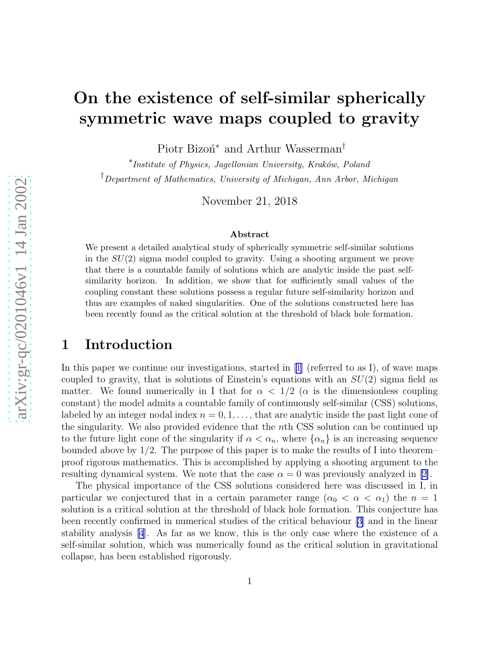# On the existence of self-similar spherically symmetric wave maps coupled to gravity

Piotr Bizon<sup>\*</sup> and Arthur Wasserman<sup>†</sup>

\*Institute of Physics, Jagellonian University, Kraków, Poland †Department of Mathematics, University of Michigan, Ann Arbor, Michigan

November 21, 2018

#### Abstract

We present a detailed analytical study of spherically symmetric self-similar solutions in the  $SU(2)$  sigma model coupled to gravity. Using a shooting argument we prove that there is a countable family of solutions which are analytic inside the past selfsimilarity horizon. In addition, we show that for sufficiently small values of the coupling constant these solutions possess a regular future self-similarity horizon and thus are examples of naked singularities. One of the solutions constructed here has been recently found as the critical solution at the threshold of black hole formation.

## 1 Introduction

In this paper we continue our investigations, started in  $|1|$  (referred to as I), of wave maps coupled to gravity, that is solutions of Einstein's equations with an  $SU(2)$  sigma field as matter. We found numerically in I that for  $\alpha < 1/2$  ( $\alpha$  is the dimensionless coupling constant) the model admits a countable family of continuously self-similar (CSS) solutions, labeled by an integer nodal index  $n = 0, 1, \ldots$ , that are analytic inside the past light cone of the singularity. We also provided evidence that the nth CSS solution can be continued up to the future light cone of the singularity if  $\alpha < \alpha_n$ , where  $\{\alpha_n\}$  is an increasing sequence bounded above by 1 /2. The purpose of this paper is to make the results of I into theorem – proof rigorous mathematics. This is accomplished by applying a shooting argument to the resulting dynamical system. We note that the case  $\alpha = 0$  was previously analyzed in [\[2\]](#page-14-0).

The physical importance of the CSS solutions considered here was discussed in I, in particular we conjectured that in a certain parameter range  $(\alpha_0 < \alpha < \alpha_1)$  the  $n = 1$ solution is a critical solution at the threshold of black hole formation. This conjecture has been recently confirmed in numerical studies of the critical behaviour [\[3](#page-14-0)] and in the linear stability analysis [\[4\]](#page-14-0). As far as we know, this is the only case where the existence of a self-similar solution, which was numerically found as the critical solution in gravitational collapse, has been established rigorously.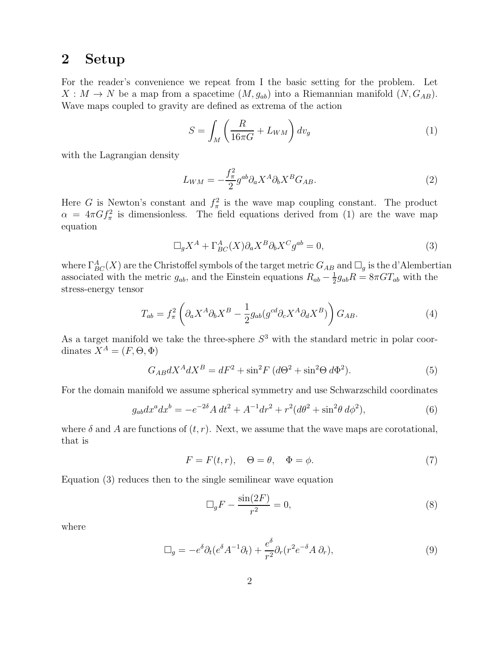## 2 Setup

For the reader's convenience we repeat from I the basic setting for the problem. Let  $X : M \to N$  be a map from a spacetime  $(M, g_{ab})$  into a Riemannian manifold  $(N, G_{AB})$ . Wave maps coupled to gravity are defined as extrema of the action

$$
S = \int_{M} \left( \frac{R}{16\pi G} + L_{WM} \right) dv_{g}
$$
 (1)

with the Lagrangian density

$$
L_{WM} = -\frac{f_{\pi}^2}{2} g^{ab} \partial_a X^A \partial_b X^B G_{AB}.
$$
\n<sup>(2)</sup>

Here G is Newton's constant and  $f_{\pi}^2$  is the wave map coupling constant. The product  $\alpha = 4\pi G f_{\pi}^2$  is dimensionless. The field equations derived from (1) are the wave map equation

$$
\Box_g X^A + \Gamma^A_{BC}(X) \partial_a X^B \partial_b X^C g^{ab} = 0,
$$
\n(3)

where  $\Gamma^{A}_{BC}(X)$  are the Christoffel symbols of the target metric  $G_{AB}$  and  $\Box_g$  is the d'Alembertian associated with the metric  $g_{ab}$ , and the Einstein equations  $R_{ab} - \frac{1}{2}$  $\frac{1}{2}g_{ab}R = 8\pi GT_{ab}$  with the stress-energy tensor

$$
T_{ab} = f_{\pi}^2 \left( \partial_a X^A \partial_b X^B - \frac{1}{2} g_{ab} (g^{cd} \partial_c X^A \partial_d X^B) \right) G_{AB}.
$$
 (4)

As a target manifold we take the three-sphere  $S<sup>3</sup>$  with the standard metric in polar coordinates  $X^A = (F, \Theta, \Phi)$ 

$$
G_{AB}dX^{A}dX^{B} = dF^{2} + \sin^{2}F (d\Theta^{2} + \sin^{2}\Theta d\Phi^{2}).
$$
\n(5)

For the domain manifold we assume spherical symmetry and use Schwarzschild coordinates

$$
g_{ab}dx^a dx^b = -e^{-2\delta} A dt^2 + A^{-1} dr^2 + r^2 (d\theta^2 + \sin^2 \theta d\phi^2),
$$
\n(6)

where  $\delta$  and A are functions of  $(t, r)$ . Next, we assume that the wave maps are corotational, that is

$$
F = F(t, r), \quad \Theta = \theta, \quad \Phi = \phi.
$$
\n<sup>(7)</sup>

Equation (3) reduces then to the single semilinear wave equation

$$
\Box_g F - \frac{\sin(2F)}{r^2} = 0,\tag{8}
$$

where

$$
\Box_g = -e^{\delta} \partial_t (e^{\delta} A^{-1} \partial_t) + \frac{e^{\delta}}{r^2} \partial_r (r^2 e^{-\delta} A \partial_r), \tag{9}
$$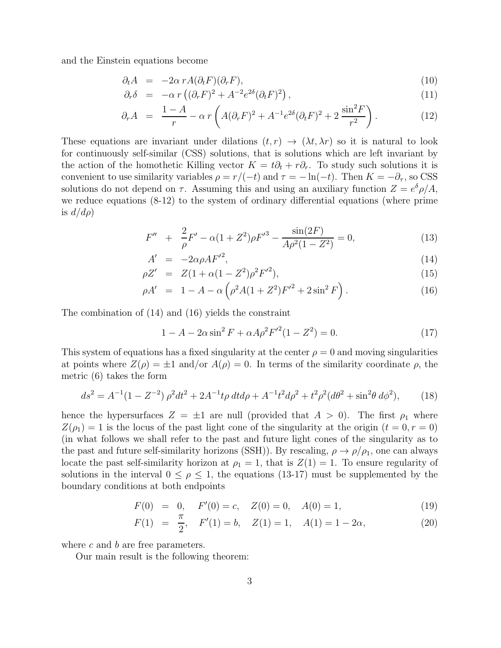and the Einstein equations become

$$
\partial_t A = -2\alpha \, r A(\partial_t F)(\partial_r F), \tag{10}
$$

$$
\partial_r \delta = -\alpha \, r \left( (\partial_r F)^2 + A^{-2} e^{2\delta} (\partial_t F)^2 \right), \tag{11}
$$

$$
\partial_r A = \frac{1 - A}{r} - \alpha r \left( A(\partial_r F)^2 + A^{-1} e^{2\delta} (\partial_t F)^2 + 2 \frac{\sin^2 F}{r^2} \right). \tag{12}
$$

These equations are invariant under dilations  $(t, r) \rightarrow (\lambda t, \lambda r)$  so it is natural to look for continuously self-similar (CSS) solutions, that is solutions which are left invariant by the action of the homothetic Killing vector  $K = t\partial_t + r\partial_r$ . To study such solutions it is convenient to use similarity variables  $\rho = r/(-t)$  and  $\tau = -\ln(-t)$ . Then  $K = -\partial_{\tau}$ , so CSS solutions do not depend on  $\tau$ . Assuming this and using an auxiliary function  $Z = e^{\delta} \rho / A$ , we reduce equations (8-12) to the system of ordinary differential equations (where prime is  $d/d\rho$ 

$$
F'' + \frac{2}{\rho}F' - \alpha(1 + Z^2)\rho F'^3 - \frac{\sin(2F)}{A\rho^2(1 - Z^2)} = 0,
$$
\n(13)

$$
A' = -2\alpha\rho A F'^2, \qquad (14)
$$

$$
\rho Z' = Z(1 + \alpha(1 - Z^2)\rho^2 F'^2), \tag{15}
$$

$$
\rho A' = 1 - A - \alpha \left( \rho^2 A (1 + Z^2) F'^2 + 2 \sin^2 F \right). \tag{16}
$$

The combination of (14) and (16) yields the constraint

$$
1 - A - 2\alpha \sin^2 F + \alpha A \rho^2 F^{\prime 2} (1 - Z^2) = 0.
$$
 (17)

This system of equations has a fixed singularity at the center  $\rho = 0$  and moving singularities at points where  $Z(\rho) = \pm 1$  and/or  $A(\rho) = 0$ . In terms of the similarity coordinate  $\rho$ , the metric (6) takes the form

$$
ds^{2} = A^{-1}(1 - Z^{-2})\,\rho^{2}dt^{2} + 2A^{-1}t\rho\,dtd\rho + A^{-1}t^{2}d\rho^{2} + t^{2}\rho^{2}(d\theta^{2} + \sin^{2}\theta\,d\phi^{2}),\tag{18}
$$

hence the hypersurfaces  $Z = \pm 1$  are null (provided that  $A > 0$ ). The first  $\rho_1$  where  $Z(\rho_1) = 1$  is the locus of the past light cone of the singularity at the origin  $(t = 0, r = 0)$ (in what follows we shall refer to the past and future light cones of the singularity as to the past and future self-similarity horizons (SSH)). By rescaling,  $\rho \rightarrow \rho/\rho_1$ , one can always locate the past self-similarity horizon at  $\rho_1 = 1$ , that is  $Z(1) = 1$ . To ensure regularity of solutions in the interval  $0 \leq \rho \leq 1$ , the equations (13-17) must be supplemented by the boundary conditions at both endpoints

$$
F(0) = 0, \quad F'(0) = c, \quad Z(0) = 0, \quad A(0) = 1,
$$
\n(19)

$$
F(1) = \frac{\pi}{2}, \quad F'(1) = b, \quad Z(1) = 1, \quad A(1) = 1 - 2\alpha,
$$
\n(20)

where  $c$  and  $b$  are free parameters.

Our main result is the following theorem: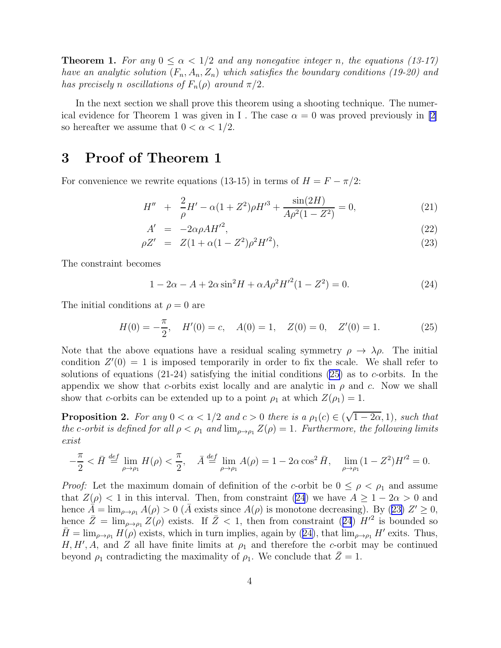<span id="page-3-0"></span>**Theorem 1.** For any  $0 \le \alpha < 1/2$  and any nonegative integer n, the equations (13-17) have an analytic solution  $(F_n, A_n, Z_n)$  which satisfies the boundary conditions (19-20) and has precisely n oscillations of  $F_n(\rho)$  around  $\pi/2$ .

In the next section we shall prove this theorem using a shooting technique. The numerical evidence for Theorem 1 was given in I. The case  $\alpha = 0$  was proved previously in [\[2\]](#page-14-0) so hereafter we assume that  $0 < \alpha < 1/2$ .

## 3 Proof of Theorem 1

For convenience we rewrite equations (13-15) in terms of  $H = F - \pi/2$ :

$$
H'' + \frac{2}{\rho}H' - \alpha(1 + Z^2)\rho H'^3 + \frac{\sin(2H)}{A\rho^2(1 - Z^2)} = 0,
$$
\n(21)

$$
A' = -2\alpha\rho A H'^2,\tag{22}
$$

$$
\rho Z' = Z(1 + \alpha(1 - Z^2)\rho^2 H'^2), \qquad (23)
$$

The constraint becomes

$$
1 - 2\alpha - A + 2\alpha \sin^2 H + \alpha A \rho^2 H^{\prime 2} (1 - Z^2) = 0. \tag{24}
$$

The initial conditions at  $\rho = 0$  are

$$
H(0) = -\frac{\pi}{2}, \quad H'(0) = c, \quad A(0) = 1, \quad Z(0) = 0, \quad Z'(0) = 1.
$$
 (25)

Note that the above equations have a residual scaling symmetry  $\rho \to \lambda \rho$ . The initial condition  $Z'(0) = 1$  is imposed temporarily in order to fix the scale. We shall refer to solutions of equations  $(21-24)$  satisfying the initial conditions  $(25)$  as to c-orbits. In the appendix we show that c-orbits exist locally and are analytic in  $\rho$  and c. Now we shall show that c-orbits can be extended up to a point  $\rho_1$  at which  $Z(\rho_1) = 1$ .

**Proposition 2.** For any  $0 < \alpha < 1/2$  and  $c > 0$  there is a  $\rho_1(c) \in (\sqrt{1-2\alpha}, 1)$ , such that the c-orbit is defined for all  $\rho < \rho_1$  and  $\lim_{\rho \to \rho_1} Z(\rho) = 1$ . Furthermore, the following limits exist

$$
-\frac{\pi}{2} < \bar{H} \stackrel{\text{def}}{=} \lim_{\rho \to \rho_1} H(\rho) < \frac{\pi}{2}, \quad \bar{A} \stackrel{\text{def}}{=} \lim_{\rho \to \rho_1} A(\rho) = 1 - 2\alpha \cos^2 \bar{H}, \quad \lim_{\rho \to \rho_1} (1 - Z^2) H'^2 = 0.
$$

*Proof:* Let the maximum domain of definition of the c-orbit be  $0 \leq \rho \leq \rho_1$  and assume that  $Z(\rho) < 1$  in this interval. Then, from constraint (24) we have  $A \geq 1 - 2\alpha > 0$  and hence  $\tilde{A} = \lim_{\rho \to \rho_1} A(\rho) > 0$  ( $\bar{A}$  exists since  $A(\rho)$  is monotone decreasing). By (23)  $Z' \ge 0$ , hence  $\bar{Z} = \lim_{\rho \to \rho_1} Z(\rho)$  exists. If  $\bar{Z} < 1$ , then from constraint (24)  $H'^2$  is bounded so  $\bar{H} = \lim_{\rho \to \rho_1} H(\rho)$  exists, which in turn implies, again by (24), that  $\lim_{\rho \to \rho_1} H'$  exits. Thus, H, H', A, and Z all have finite limits at  $\rho_1$  and therefore the c-orbit may be continued beyond  $\rho_1$  contradicting the maximality of  $\rho_1$ . We conclude that  $\bar{Z}=1$ .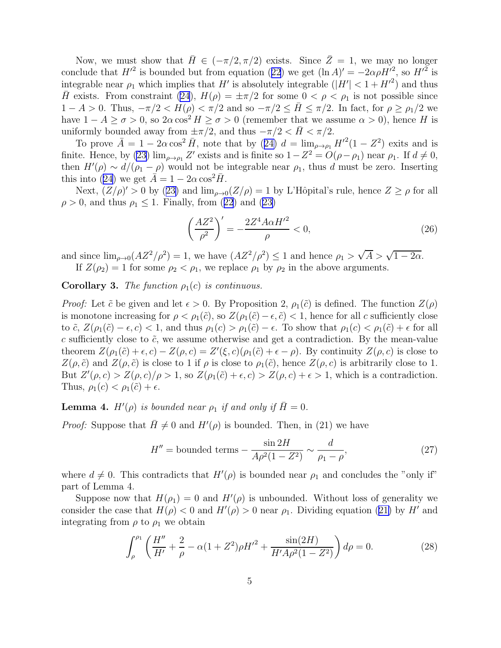<span id="page-4-0"></span>Now, we must show that  $\bar{H} \in (-\pi/2, \pi/2)$  exists. Since  $\bar{Z} = 1$ , we may no longer concludethat  $H'^2$  is bounded but from equation ([22](#page-3-0)) we get  $(\ln A)' = -2\alpha \rho H'^2$ , so  $H'^2$  is integrable near  $\rho_1$  which implies that H' is absolutely integrable  $(|H'| < 1 + H'^2)$  and thus  $\bar{H}$  exists. From constraint [\(24](#page-3-0)),  $H(\rho) = \pm \pi/2$  for some  $0 < \rho < \rho_1$  is not possible since  $1 - A > 0$ . Thus,  $-\pi/2 < H(\rho) < \pi/2$  and so  $-\pi/2 \leq \bar{H} \leq \pi/2$ . In fact, for  $\rho \geq \rho_1/2$  we have  $1 - A \ge \sigma > 0$ , so  $2\alpha \cos^2 H \ge \sigma > 0$  (remember that we assume  $\alpha > 0$ ), hence H is uniformly bounded away from  $\pm \pi/2$ , and thus  $-\pi/2 < H < \pi/2$ .

Toprove  $\overline{A} = 1 - 2\alpha \cos^2 \overline{H}$ , note that by ([24\)](#page-3-0)  $d = \lim_{\rho \to \rho_1} H'^2(1 - Z^2)$  exits and is finite. Hence, by [\(23\)](#page-3-0)  $\lim_{\rho \to \rho_1} Z'$  exists and is finite so  $1 - Z^2 = O(\rho - \rho_1)$  near  $\rho_1$ . If  $d \neq 0$ , then  $H'(\rho) \sim d/(\rho_1 - \rho)$  would not be integrable near  $\rho_1$ , thus d must be zero. Inserting this into [\(24\)](#page-3-0) we get  $A = 1 - 2\alpha \cos^2 H$ .

Next, $(Z/\rho)' > 0$  by ([23\)](#page-3-0) and  $\lim_{\rho \to 0} (Z/\rho) = 1$  by L'Hôpital's rule, hence  $Z \ge \rho$  for all  $\rho > 0$  $\rho > 0$  $\rho > 0$ , and thus  $\rho_1 \leq 1$ . Finally, from ([22](#page-3-0)) and [\(23\)](#page-3-0)

$$
\left(\frac{AZ^2}{\rho^2}\right)' = -\frac{2Z^4 A\alpha H'^2}{\rho} < 0,\tag{26}
$$

and since  $\lim_{\rho \to 0} (AZ^2/\rho^2) = 1$ , we have  $(AZ^2/\rho^2) \le 1$  and hence  $\rho_1 > \sqrt{A} > \sqrt{1 - 2\alpha}$ . If  $Z(\rho_2) = 1$  for some  $\rho_2 < \rho_1$ , we replace  $\rho_1$  by  $\rho_2$  in the above arguments.

**Corollary 3.** The function  $\rho_1(c)$  is continuous.

*Proof:* Let  $\tilde{c}$  be given and let  $\epsilon > 0$ . By Proposition 2,  $\rho_1(\tilde{c})$  is defined. The function  $Z(\rho)$ is monotone increasing for  $\rho < \rho_1(\tilde{c})$ , so  $Z(\rho_1(\tilde{c}) - \epsilon, \tilde{c}) < 1$ , hence for all c sufficiently close to  $\tilde{c}$ ,  $Z(\rho_1(\tilde{c}) - \epsilon, c) < 1$ , and thus  $\rho_1(c) > \rho_1(\tilde{c}) - \epsilon$ . To show that  $\rho_1(c) < \rho_1(\tilde{c}) + \epsilon$  for all c sufficiently close to  $\tilde{c}$ , we assume otherwise and get a contradiction. By the mean-value theorem  $Z(\rho_1(\tilde{c}) + \epsilon, c) - Z(\rho, c) = Z'(\xi, c)(\rho_1(\tilde{c}) + \epsilon - \rho)$ . By continuity  $Z(\rho, c)$  is close to  $Z(\rho, \tilde{c})$  and  $Z(\rho, \tilde{c})$  is close to 1 if  $\rho$  is close to  $\rho_1(\tilde{c})$ , hence  $Z(\rho, c)$  is arbitrarily close to 1. But  $Z'(\rho, c) > Z(\rho, c)/\rho > 1$ , so  $Z(\rho_1(\tilde{c}) + \epsilon, c) > Z(\rho, c) + \epsilon > 1$ , which is a contradiction. Thus,  $\rho_1(c) < \rho_1(\tilde{c}) + \epsilon$ .

**Lemma 4.**  $H'(\rho)$  is bounded near  $\rho_1$  if and only if  $\overline{H}=0$ .

*Proof:* Suppose that  $\bar{H} \neq 0$  and  $H'(\rho)$  is bounded. Then, in (21) we have

$$
H'' = \text{bounded terms} - \frac{\sin 2H}{A\rho^2(1 - Z^2)} \sim \frac{d}{\rho_1 - \rho},\tag{27}
$$

where  $d \neq 0$ . This contradicts that  $H'(\rho)$  is bounded near  $\rho_1$  and concludes the "only if" part of Lemma 4.

Suppose now that  $H(\rho_1) = 0$  and  $H'(\rho)$  is unbounded. Without loss of generality we considerthe case that  $H(\rho) < 0$  and  $H'(\rho) > 0$  near  $\rho_1$ . Dividing equation ([21\)](#page-3-0) by H' and integrating from  $\rho$  to  $\rho_1$  we obtain

$$
\int_{\rho}^{\rho_1} \left( \frac{H''}{H'} + \frac{2}{\rho} - \alpha (1 + Z^2) \rho H'^2 + \frac{\sin(2H)}{H' A \rho^2 (1 - Z^2)} \right) d\rho = 0.
$$
 (28)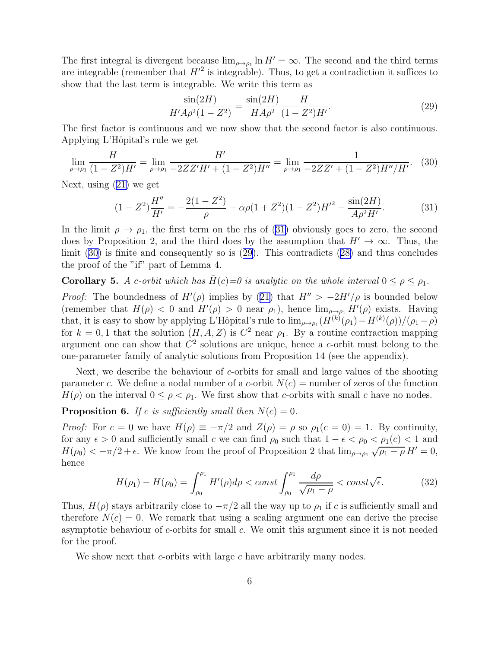The first integral is divergent because  $\lim_{\rho \to \rho_1} \ln H' = \infty$ . The second and the third terms are integrable (remember that  $H'^2$  is integrable). Thus, to get a contradiction it suffices to show that the last term is integrable. We write this term as

$$
\frac{\sin(2H)}{H'A\rho^2(1-Z^2)} = \frac{\sin(2H)}{HA\rho^2} \frac{H}{(1-Z^2)H'}.\tag{29}
$$

The first factor is continuous and we now show that the second factor is also continuous. Applying L'Hôpital's rule we get

$$
\lim_{\rho \to \rho_1} \frac{H}{(1 - Z^2)H'} = \lim_{\rho \to \rho_1} \frac{H'}{-2ZZ'H' + (1 - Z^2)H''} = \lim_{\rho \to \rho_1} \frac{1}{-2ZZ' + (1 - Z^2)H''/H'}.
$$
 (30)

Next, using [\(21\)](#page-3-0) we get

$$
(1 - Z2)\frac{H''}{H'} = -\frac{2(1 - Z2)}{\rho} + \alpha\rho(1 + Z2)(1 - Z2)H'2 - \frac{\sin(2H)}{A\rho2H'}.
$$
 (31)

In the limit  $\rho \to \rho_1$ , the first term on the rhs of (31) obviously goes to zero, the second does by Proposition 2, and the third does by the assumption that  $H' \to \infty$ . Thus, the limit (30) is finite and consequently so is (29). This contradicts [\(28\)](#page-4-0) and thus concludes the proof of the "if" part of Lemma 4.

**Corollary 5.** A c-orbit which has  $H(c) = 0$  is analytic on the whole interval  $0 \le \rho \le \rho_1$ .

*Proof:*The boundedness of  $H'(\rho)$  implies by ([21\)](#page-3-0) that  $H'' > -2H'/\rho$  is bounded below (remember that  $H(\rho) < 0$  and  $H'(\rho) > 0$  near  $\rho_1$ ), hence  $\lim_{\rho \to \rho_1} H'(\rho)$  exists. Having that, it is easy to show by applying L'Hôpital's rule to  $\lim_{\rho \to \rho_1} (H^{(k)}(\rho_1) - H^{(k)}(\rho))/(\rho_1 - \rho)$ for  $k = 0, 1$  that the solution  $(H, A, Z)$  is  $C^2$  near  $\rho_1$ . By a routine contraction mapping argument one can show that  $C<sup>2</sup>$  solutions are unique, hence a c-orbit must belong to the one-parameter family of analytic solutions from Proposition 14 (see the appendix).

Next, we describe the behaviour of c-orbits for small and large values of the shooting parameter c. We define a nodal number of a c-orbit  $N(c)$  = number of zeros of the function  $H(\rho)$  on the interval  $0 \leq \rho < \rho_1$ . We first show that c-orbits with small c have no nodes.

**Proposition 6.** If c is sufficiently small then  $N(c) = 0$ .

*Proof:* For  $c = 0$  we have  $H(\rho) \equiv -\pi/2$  and  $Z(\rho) = \rho$  so  $\rho_1(c = 0) = 1$ . By continuity, for any  $\epsilon > 0$  and sufficiently small c we can find  $\rho_0$  such that  $1 - \epsilon < \rho_0 < \rho_1(c) < 1$  and  $H(\rho_0) < -\pi/2 + \epsilon$ . We know from the proof of Proposition 2 that  $\lim_{\rho \to \rho_1} \sqrt{\rho_1 - \rho} H' = 0$ , hence

$$
H(\rho_1) - H(\rho_0) = \int_{\rho_0}^{\rho_1} H'(\rho) d\rho < const \int_{\rho_0}^{\rho_1} \frac{d\rho}{\sqrt{\rho_1 - \rho}} < const \sqrt{\epsilon}.
$$
 (32)

Thus,  $H(\rho)$  stays arbitrarily close to  $-\pi/2$  all the way up to  $\rho_1$  if c is sufficiently small and therefore  $N(c) = 0$ . We remark that using a scaling argument one can derive the precise asymptotic behaviour of c-orbits for small c. We omit this argument since it is not needed for the proof.

We show next that c-orbits with large c have arbitrarily many nodes.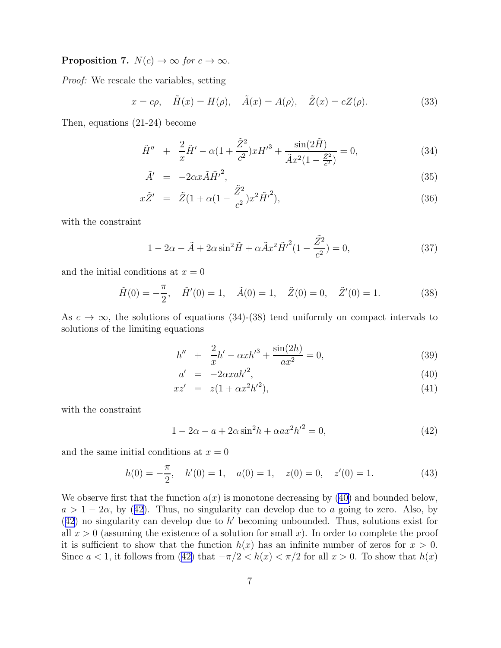<span id="page-6-0"></span>**Proposition 7.**  $N(c) \rightarrow \infty$  for  $c \rightarrow \infty$ .

Proof: We rescale the variables, setting

$$
x = c\rho, \quad \tilde{H}(x) = H(\rho), \quad \tilde{A}(x) = A(\rho), \quad \tilde{Z}(x) = cZ(\rho).
$$
 (33)

Then, equations (21-24) become

$$
\tilde{H}'' + \frac{2}{x}\tilde{H}' - \alpha(1 + \frac{\tilde{Z}^2}{c^2})xH'^3 + \frac{\sin(2\tilde{H})}{\tilde{A}x^2(1 - \frac{\tilde{Z}^2}{c^2})} = 0,
$$
\n(34)

$$
\tilde{A}' = -2\alpha x \tilde{A} \tilde{H}'^2, \qquad (35)
$$

$$
x\tilde{Z}' = \tilde{Z}(1 + \alpha(1 - \frac{\tilde{Z}^2}{c^2})x^2\tilde{H}'^2),
$$
\n(36)

with the constraint

$$
1 - 2\alpha - \tilde{A} + 2\alpha \sin^2 \tilde{H} + \alpha \tilde{A} x^2 \tilde{H}'^2 (1 - \frac{\tilde{Z}^2}{c^2}) = 0,
$$
\n(37)

and the initial conditions at  $x = 0$ 

$$
\tilde{H}(0) = -\frac{\pi}{2}, \quad \tilde{H}'(0) = 1, \quad \tilde{A}(0) = 1, \quad \tilde{Z}(0) = 0, \quad \tilde{Z}'(0) = 1.
$$
\n(38)

As  $c \to \infty$ , the solutions of equations (34)-(38) tend uniformly on compact intervals to solutions of the limiting equations

$$
h'' + \frac{2}{x}h' - \alpha x h'^3 + \frac{\sin(2h)}{ax^2} = 0,
$$
\n(39)

$$
a' = -2\alpha x a h'^2,\tag{40}
$$

$$
xz' = z(1 + \alpha x^2 h'^2), \tag{41}
$$

with the constraint

$$
1 - 2\alpha - a + 2\alpha \sin^2 h + \alpha a x^2 h'^2 = 0,
$$
\n(42)

and the same initial conditions at  $x = 0$ 

$$
h(0) = -\frac{\pi}{2}, \quad h'(0) = 1, \quad a(0) = 1, \quad z(0) = 0, \quad z'(0) = 1.
$$
 (43)

We observe first that the function  $a(x)$  is monotone decreasing by (40) and bounded below,  $a > 1-2\alpha$ , by (42). Thus, no singularity can develop due to a going to zero. Also, by  $(42)$  no singularity can develop due to h' becoming unbounded. Thus, solutions exist for all  $x > 0$  (assuming the existence of a solution for small x). In order to complete the proof it is sufficient to show that the function  $h(x)$  has an infinite number of zeros for  $x > 0$ . Since  $a < 1$ , it follows from (42) that  $-\pi/2 < h(x) < \pi/2$  for all  $x > 0$ . To show that  $h(x)$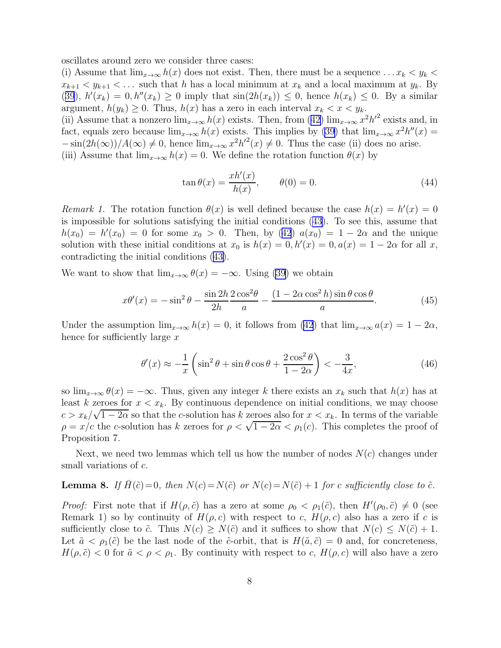oscillates around zero we consider three cases:

(i) Assume that  $\lim_{x\to\infty} h(x)$  does not exist. Then, there must be a sequence ...  $x_k < y_k$  $x_{k+1} < y_{k+1} < \dots$  such that h has a local minimum at  $x_k$  and a local maximum at  $y_k$ . By ([39](#page-6-0)),  $h'(x_k) = 0$ ,  $h''(x_k) \ge 0$  imply that  $\sin(2h(x_k)) \le 0$ , hence  $h(x_k) \le 0$ . By a similar argument,  $h(y_k) \geq 0$ . Thus,  $h(x)$  has a zero in each interval  $x_k < x < y_k$ .

(ii)Assume that a nonzero  $\lim_{x\to\infty} h(x)$  exists. Then, from ([42\)](#page-6-0)  $\lim_{x\to\infty} x^2 h'^2$  exists and, in fact, equals zero because  $\lim_{x\to\infty} h(x)$  exists. This implies by [\(39](#page-6-0)) that  $\lim_{x\to\infty} x^2 h''(x) =$  $-\sin(2h(\infty))/A(\infty) \neq 0$ , hence  $\lim_{x\to\infty} x^2h'^2(x) \neq 0$ . Thus the case (ii) does no arise. (iii) Assume that  $\lim_{x\to\infty} h(x) = 0$ . We define the rotation function  $\theta(x)$  by

$$
\tan \theta(x) = \frac{x h'(x)}{h(x)}, \qquad \theta(0) = 0.
$$
\n(44)

Remark 1. The rotation function  $\theta(x)$  is well defined because the case  $h(x) = h'(x) = 0$ is impossible for solutions satisfying the initial conditions [\(43\)](#page-6-0). To see this, assume that  $h(x_0) = h'(x_0) = 0$  $h(x_0) = h'(x_0) = 0$  $h(x_0) = h'(x_0) = 0$  for some  $x_0 > 0$ . Then, by ([42](#page-6-0))  $a(x_0) = 1 - 2\alpha$  and the unique solution with these initial conditions at  $x_0$  is  $h(x) = 0$ ,  $h'(x) = 0$ ,  $a(x) = 1 - 2\alpha$  for all x, contradicting the initial conditions([43\)](#page-6-0).

We want to show that  $\lim_{x\to\infty} \theta(x) = -\infty$ . Using [\(39](#page-6-0)) we obtain

$$
x\theta'(x) = -\sin^2\theta - \frac{\sin 2h}{2h} \frac{2\cos^2\theta}{a} - \frac{(1 - 2\alpha\cos^2 h)\sin\theta\cos\theta}{a}.
$$
 (45)

Under the assumption  $\lim_{x\to\infty} h(x) = 0$ , it follows from [\(42](#page-6-0)) that  $\lim_{x\to\infty} a(x) = 1 - 2\alpha$ , hence for sufficiently large x

$$
\theta'(x) \approx -\frac{1}{x} \left( \sin^2 \theta + \sin \theta \cos \theta + \frac{2 \cos^2 \theta}{1 - 2\alpha} \right) < -\frac{3}{4x},\tag{46}
$$

so  $\lim_{x\to\infty} \theta(x) = -\infty$ . Thus, given any integer k there exists an  $x_k$  such that  $h(x)$  has at least k zeroes for  $x < x_k$ . By continuous dependence on initial conditions, we may choose  $c > x_k/\sqrt{1-2\alpha}$  so that the c-solution has k zeroes also for  $x < x_k$ . In terms of the variable  $\rho = x/c$  the c-solution has k zeroes for  $\rho < \sqrt{1-2\alpha} < \rho_1(c)$ . This completes the proof of Proposition 7.

Next, we need two lemmas which tell us how the number of nodes  $N(c)$  changes under small variations of c.

#### **Lemma 8.** If  $\overline{H}(\tilde{c})=0$ , then  $N(c)=N(\tilde{c})$  or  $N(c)=N(\tilde{c})+1$  for c sufficiently close to  $\tilde{c}$ .

*Proof:* First note that if  $H(\rho, \tilde{c})$  has a zero at some  $\rho_0 < \rho_1(\tilde{c})$ , then  $H'(\rho_0, \tilde{c}) \neq 0$  (see Remark 1) so by continuity of  $H(\rho, c)$  with respect to c,  $H(\rho, c)$  also has a zero if c is sufficiently close to  $\tilde{c}$ . Thus  $N(c) \geq N(\tilde{c})$  and it suffices to show that  $N(c) \leq N(\tilde{c}) + 1$ . Let  $\tilde{a} < \rho_1(\tilde{c})$  be the last node of the  $\tilde{c}$ -orbit, that is  $H(\tilde{a}, \tilde{c}) = 0$  and, for concreteness,  $H(\rho, \tilde{c}) < 0$  for  $\tilde{a} < \rho < \rho_1$ . By continuity with respect to c,  $H(\rho, c)$  will also have a zero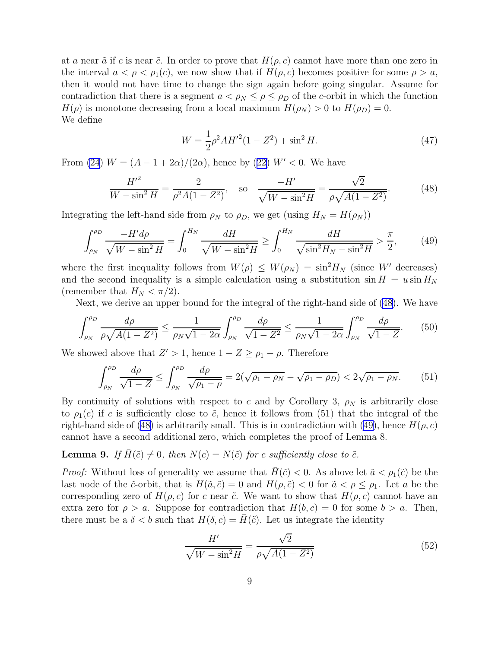<span id="page-8-0"></span>at a near  $\tilde{a}$  if c is near  $\tilde{c}$ . In order to prove that  $H(\rho, c)$  cannot have more than one zero in the interval  $a < \rho < \rho_1(c)$ , we now show that if  $H(\rho, c)$  becomes positive for some  $\rho > a$ , then it would not have time to change the sign again before going singular. Assume for contradiction that there is a segment  $a < \rho_N \leq \rho \leq \rho_D$  of the c-orbit in which the function  $H(\rho)$  is monotone decreasing from a local maximum  $H(\rho_N) > 0$  to  $H(\rho_D) = 0$ . We define

$$
W = \frac{1}{2}\rho^2 A H^{\prime 2} (1 - Z^2) + \sin^2 H. \tag{47}
$$

From [\(24](#page-3-0)) $W = (A - 1 + 2\alpha)/(2\alpha)$ , hence by ([22\)](#page-3-0)  $W' < 0$ . We have

$$
\frac{H'^2}{W - \sin^2 H} = \frac{2}{\rho^2 A (1 - Z^2)}, \quad \text{so} \quad \frac{-H'}{\sqrt{W - \sin^2 H}} = \frac{\sqrt{2}}{\rho \sqrt{A (1 - Z^2)}}.
$$
(48)

Integrating the left-hand side from  $\rho_N$  to  $\rho_D$ , we get (using  $H_N = H(\rho_N)$ )

$$
\int_{\rho_N}^{\rho_D} \frac{-H' d\rho}{\sqrt{W - \sin^2 H}} = \int_0^{H_N} \frac{dH}{\sqrt{W - \sin^2 H}} \ge \int_0^{H_N} \frac{dH}{\sqrt{\sin^2 H_N - \sin^2 H}} > \frac{\pi}{2},\qquad(49)
$$

where the first inequality follows from  $W(\rho) \leq W(\rho_N) = \sin^2 H_N$  (since W' decreases) and the second inequality is a simple calculation using a substitution  $\sin H = u \sin H_N$ (remember that  $H_N < \pi/2$ ).

Next, we derive an upper bound for the integral of the right-hand side of (48). We have

$$
\int_{\rho_N}^{\rho_D} \frac{d\rho}{\rho \sqrt{A(1 - Z^2)}} \le \frac{1}{\rho_N \sqrt{1 - 2\alpha}} \int_{\rho_N}^{\rho_D} \frac{d\rho}{\sqrt{1 - Z^2}} \le \frac{1}{\rho_N \sqrt{1 - 2\alpha}} \int_{\rho_N}^{\rho_D} \frac{d\rho}{\sqrt{1 - Z}}. \tag{50}
$$

We showed above that  $Z' > 1$ , hence  $1 - Z \ge \rho_1 - \rho$ . Therefore

$$
\int_{\rho_N}^{\rho_D} \frac{d\rho}{\sqrt{1 - Z}} \le \int_{\rho_N}^{\rho_D} \frac{d\rho}{\sqrt{\rho_1 - \rho}} = 2(\sqrt{\rho_1 - \rho_N} - \sqrt{\rho_1 - \rho_D}) < 2\sqrt{\rho_1 - \rho_N}.\tag{51}
$$

By continuity of solutions with respect to c and by Corollary 3,  $\rho_N$  is arbitrarily close to  $\rho_1(c)$  if c is sufficiently close to  $\tilde{c}$ , hence it follows from (51) that the integral of the right-hand side of (48) is arbitrarily small. This is in contradiction with (49), hence  $H(\rho, c)$ cannot have a second additional zero, which completes the proof of Lemma 8.

### **Lemma 9.** If  $\bar{H}(\tilde{c}) \neq 0$ , then  $N(c) = N(\tilde{c})$  for c sufficiently close to  $\tilde{c}$ .

*Proof:* Without loss of generality we assume that  $H(\tilde{c}) < 0$ . As above let  $\tilde{a} < \rho_1(\tilde{c})$  be the last node of the  $\tilde{c}$ -orbit, that is  $H(\tilde{a}, \tilde{c}) = 0$  and  $H(\rho, \tilde{c}) < 0$  for  $\tilde{a} < \rho \le \rho_1$ . Let a be the corresponding zero of  $H(\rho, c)$  for c near  $\tilde{c}$ . We want to show that  $H(\rho, c)$  cannot have an extra zero for  $\rho > a$ . Suppose for contradiction that  $H(b, c) = 0$  for some  $b > a$ . Then, there must be a  $\delta < b$  such that  $H(\delta, c) = \overline{H}(\tilde{c})$ . Let us integrate the identity

$$
\frac{H'}{\sqrt{W - \sin^2 H}} = \frac{\sqrt{2}}{\rho \sqrt{A(1 - Z^2)}}
$$
(52)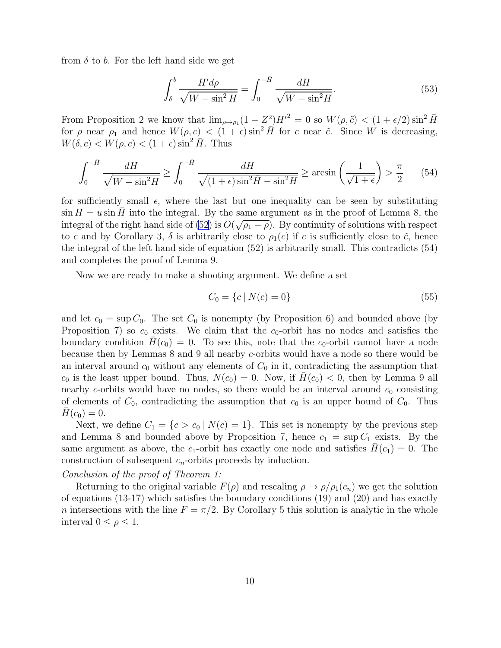from  $\delta$  to b. For the left hand side we get

$$
\int_{\delta}^{b} \frac{H'd\rho}{\sqrt{W - \sin^2 H}} = \int_{0}^{-\bar{H}} \frac{dH}{\sqrt{W - \sin^2 H}}.\tag{53}
$$

From Proposition 2 we know that  $\lim_{\rho \to \rho_1} (1 - Z^2)H'^2 = 0$  so  $W(\rho, \tilde{c}) < (1 + \epsilon/2) \sin^2 \bar{H}$ for  $\rho$  near  $\rho_1$  and hence  $W(\rho, c) < (1 + \epsilon) \sin^2 H$  for c near  $\tilde{c}$ . Since W is decreasing,  $W(\delta, c) < W(\rho, c) < (1 + \epsilon) \sin^2 H$ . Thus

$$
\int_0^{-\bar{H}} \frac{dH}{\sqrt{W - \sin^2 H}} \ge \int_0^{-\bar{H}} \frac{dH}{\sqrt{(1 + \epsilon)\sin^2 \bar{H} - \sin^2 H}} \ge \arcsin\left(\frac{1}{\sqrt{1 + \epsilon}}\right) > \frac{\pi}{2}
$$
(54)

for sufficiently small  $\epsilon$ , where the last but one inequality can be seen by substituting  $\sin H = u \sin H$  into the integral. By the same argument as in the proof of Lemma 8, the integral of the right hand side of  $(52)$  is  $O(\sqrt{\rho_1-\rho})$ . By continuity of solutions with respect to c and by Corollary 3,  $\delta$  is arbitrarily close to  $\rho_1(c)$  if c is sufficiently close to  $\tilde{c}$ , hence the integral of the left hand side of equation (52) is arbitrarily small. This contradicts (54) and completes the proof of Lemma 9.

Now we are ready to make a shooting argument. We define a set

$$
C_0 = \{c \mid N(c) = 0\} \tag{55}
$$

and let  $c_0 = \sup C_0$ . The set  $C_0$  is nonempty (by Proposition 6) and bounded above (by Proposition 7) so  $c_0$  exists. We claim that the  $c_0$ -orbit has no nodes and satisfies the boundary condition  $H(c_0) = 0$ . To see this, note that the c<sub>0</sub>-orbit cannot have a node because then by Lemmas 8 and 9 all nearby c-orbits would have a node so there would be an interval around  $c_0$  without any elements of  $C_0$  in it, contradicting the assumption that  $c_0$  is the least upper bound. Thus,  $N(c_0) = 0$ . Now, if  $H(c_0) < 0$ , then by Lemma 9 all nearby c-orbits would have no nodes, so there would be an interval around  $c_0$  consisting of elements of  $C_0$ , contradicting the assumption that  $c_0$  is an upper bound of  $C_0$ . Thus  $H(c_0) = 0.$ 

Next, we define  $C_1 = \{c > c_0 | N(c) = 1\}$ . This set is nonempty by the previous step and Lemma 8 and bounded above by Proposition 7, hence  $c_1 = \sup C_1$  exists. By the same argument as above, the  $c_1$ -orbit has exactly one node and satisfies  $H(c_1) = 0$ . The construction of subsequent  $c_n$ -orbits proceeds by induction.

Conclusion of the proof of Theorem 1:

Returning to the original variable  $F(\rho)$  and rescaling  $\rho \to \rho/\rho_1(c_n)$  we get the solution of equations (13-17) which satisfies the boundary conditions (19) and (20) and has exactly n intersections with the line  $F = \pi/2$ . By Corollary 5 this solution is analytic in the whole interval  $0 \leq \rho \leq 1$ .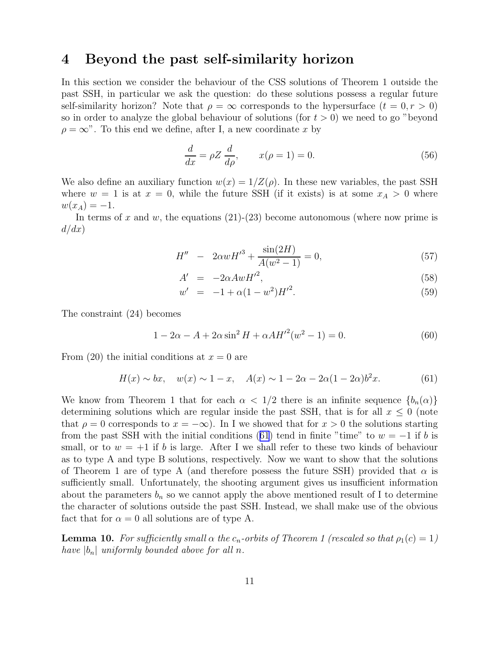## 4 Beyond the past self-similarity horizon

In this section we consider the behaviour of the CSS solutions of Theorem 1 outside the past SSH, in particular we ask the question: do these solutions possess a regular future self-similarity horizon? Note that  $\rho = \infty$  corresponds to the hypersurface  $(t = 0, r > 0)$ so in order to analyze the global behaviour of solutions (for  $t > 0$ ) we need to go "beyond  $\rho = \infty$ ". To this end we define, after I, a new coordinate x by

$$
\frac{d}{dx} = \rho Z \frac{d}{d\rho}, \qquad x(\rho = 1) = 0. \tag{56}
$$

We also define an auxiliary function  $w(x) = 1/Z(\rho)$ . In these new variables, the past SSH where  $w = 1$  is at  $x = 0$ , while the future SSH (if it exists) is at some  $x_A > 0$  where  $w(x_A) = -1.$ 

In terms of x and w, the equations  $(21)-(23)$  become autonomous (where now prime is  $d/dx)$ 

$$
H'' - 2\alpha wH'^3 + \frac{\sin(2H)}{A(w^2 - 1)} = 0,
$$
\n(57)

$$
A' = -2\alpha A w H'^2,\t\t(58)
$$

$$
w' = -1 + \alpha (1 - w^2) H'^2. \tag{59}
$$

The constraint (24) becomes

$$
1 - 2\alpha - A + 2\alpha \sin^2 H + \alpha A H'^2(w^2 - 1) = 0.
$$
 (60)

From (20) the initial conditions at  $x = 0$  are

$$
H(x) \sim bx
$$
,  $w(x) \sim 1 - x$ ,  $A(x) \sim 1 - 2\alpha - 2\alpha(1 - 2\alpha)b^2x$ . (61)

We know from Theorem 1 that for each  $\alpha < 1/2$  there is an infinite sequence  ${b_n(\alpha)}$ determining solutions which are regular inside the past SSH, that is for all  $x \leq 0$  (note that  $\rho = 0$  corresponds to  $x = -\infty$ ). In I we showed that for  $x > 0$  the solutions starting from the past SSH with the initial conditions (61) tend in finite "time" to  $w = -1$  if b is small, or to  $w = +1$  if b is large. After I we shall refer to these two kinds of behaviour as to type A and type B solutions, respectively. Now we want to show that the solutions of Theorem 1 are of type A (and therefore possess the future SSH) provided that  $\alpha$  is sufficiently small. Unfortunately, the shooting argument gives us insufficient information about the parameters  $b_n$  so we cannot apply the above mentioned result of I to determine the character of solutions outside the past SSH. Instead, we shall make use of the obvious fact that for  $\alpha = 0$  all solutions are of type A.

**Lemma 10.** For sufficiently small  $\alpha$  the  $c_n$ -orbits of Theorem 1 (rescaled so that  $\rho_1(c) = 1$ ) have  $|b_n|$  uniformly bounded above for all n.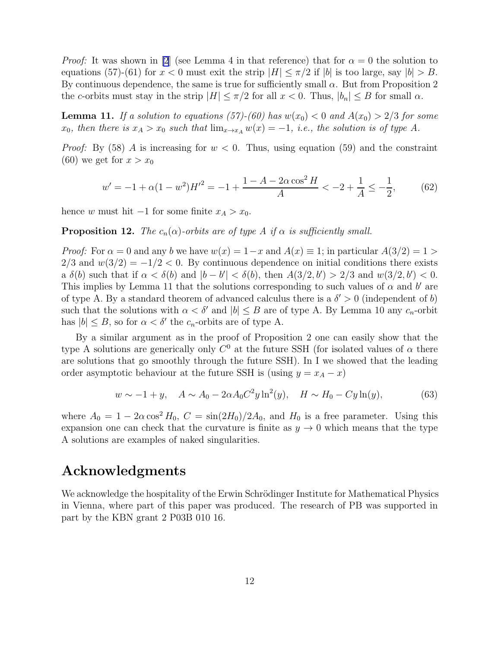*Proof:* It was shown in [\[2](#page-14-0)] (see Lemma 4 in that reference) that for  $\alpha = 0$  the solution to equations (57)-(61) for  $x < 0$  must exit the strip  $|H| \leq \pi/2$  if  $|b|$  is too large, say  $|b| > B$ . By continuous dependence, the same is true for sufficiently small  $\alpha$ . But from Proposition 2 the c-orbits must stay in the strip  $|H| \leq \pi/2$  for all  $x < 0$ . Thus,  $|b_n| \leq B$  for small  $\alpha$ .

**Lemma 11.** If a solution to equations (57)-(60) has  $w(x_0) < 0$  and  $A(x_0) > 2/3$  for some  $x_0$ , then there is  $x_A > x_0$  such that  $\lim_{x\to x_A} w(x) = -1$ , i.e., the solution is of type A.

*Proof:* By (58) A is increasing for  $w < 0$ . Thus, using equation (59) and the constraint (60) we get for  $x > x_0$ 

$$
w' = -1 + \alpha (1 - w^2) H'^2 = -1 + \frac{1 - A - 2\alpha \cos^2 H}{A} < -2 + \frac{1}{A} \le -\frac{1}{2},\tag{62}
$$

hence w must hit  $-1$  for some finite  $x_A > x_0$ .

**Proposition 12.** The  $c_n(\alpha)$ -orbits are of type A if  $\alpha$  is sufficiently small.

*Proof:* For  $\alpha = 0$  and any b we have  $w(x) = 1-x$  and  $A(x) \equiv 1$ ; in particular  $A(3/2) = 1 >$  $2/3$  and  $w(3/2) = -1/2 < 0$ . By continuous dependence on initial conditions there exists a  $\delta(b)$  such that if  $\alpha < \delta(b)$  and  $|b - b'| < \delta(b)$ , then  $A(3/2, b') > 2/3$  and  $w(3/2, b') < 0$ . This implies by Lemma 11 that the solutions corresponding to such values of  $\alpha$  and  $b'$  are of type A. By a standard theorem of advanced calculus there is a  $\delta' > 0$  (independent of b) such that the solutions with  $\alpha < \delta'$  and  $|b| \leq B$  are of type A. By Lemma 10 any  $c_n$ -orbit has  $|b| \leq B$ , so for  $\alpha < \delta'$  the  $c_n$ -orbits are of type A.

By a similar argument as in the proof of Proposition 2 one can easily show that the type A solutions are generically only  $C^0$  at the future SSH (for isolated values of  $\alpha$  there are solutions that go smoothly through the future SSH). In I we showed that the leading order asymptotic behaviour at the future SSH is (using  $y = x_A - x$ )

$$
w \sim -1 + y, \quad A \sim A_0 - 2\alpha A_0 C^2 y \ln^2(y), \quad H \sim H_0 - C y \ln(y), \tag{63}
$$

where  $A_0 = 1 - 2\alpha \cos^2 H_0$ ,  $C = \sin(2H_0)/2A_0$ , and  $H_0$  is a free parameter. Using this expansion one can check that the curvature is finite as  $y \to 0$  which means that the type A solutions are examples of naked singularities.

## Acknowledgments

We acknowledge the hospitality of the Erwin Schrödinger Institute for Mathematical Physics in Vienna, where part of this paper was produced. The research of PB was supported in part by the KBN grant 2 P03B 010 16.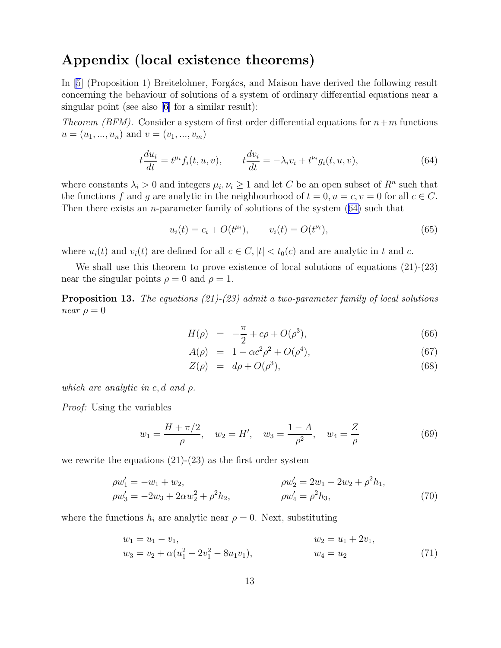## <span id="page-12-0"></span>Appendix (local existence theorems)

In [\[5\]](#page-14-0) (Proposition 1) Breitelohner, Forgács, and Maison have derived the following result concerning the behaviour of solutions of a system of ordinary differential equations near a singular point (see also [\[6\]](#page-14-0) for a similar result):

*Theorem (BFM).* Consider a system of first order differential equations for  $n+m$  functions  $u = (u_1, ..., u_n)$  and  $v = (v_1, ..., v_m)$ 

$$
t\frac{du_i}{dt} = t^{\mu_i} f_i(t, u, v), \qquad t\frac{dv_i}{dt} = -\lambda_i v_i + t^{\nu_i} g_i(t, u, v), \tag{64}
$$

where constants  $\lambda_i > 0$  and integers  $\mu_i, \nu_i \geq 1$  and let C be an open subset of  $R^n$  such that the functions f and g are analytic in the neighbourhood of  $t = 0, u = c, v = 0$  for all  $c \in C$ . Then there exists an n-parameter family of solutions of the system (64) such that

$$
u_i(t) = c_i + O(t^{\mu_i}), \qquad v_i(t) = O(t^{\nu_i}), \tag{65}
$$

where  $u_i(t)$  and  $v_i(t)$  are defined for all  $c \in C$ ,  $|t| < t_0(c)$  and are analytic in t and c.

We shall use this theorem to prove existence of local solutions of equations  $(21)-(23)$ near the singular points  $\rho = 0$  and  $\rho = 1$ .

**Proposition 13.** The equations  $(21)-(23)$  admit a two-parameter family of local solutions near  $\rho = 0$ 

$$
H(\rho) = -\frac{\pi}{2} + c\rho + O(\rho^3), \tag{66}
$$

$$
A(\rho) = 1 - \alpha c^2 \rho^2 + O(\rho^4), \tag{67}
$$

$$
Z(\rho) = d\rho + O(\rho^3), \tag{68}
$$

which are analytic in c, d and  $\rho$ .

*Proof:* Using the variables

$$
w_1 = \frac{H + \pi/2}{\rho}
$$
,  $w_2 = H'$ ,  $w_3 = \frac{1 - A}{\rho^2}$ ,  $w_4 = \frac{Z}{\rho}$  (69)

we rewrite the equations  $(21)-(23)$  as the first order system

$$
\rho w_1' = -w_1 + w_2, \n\rho w_2' = 2w_1 - 2w_2 + \rho^2 h_1, \n\rho w_3' = -2w_3 + 2\alpha w_2^2 + \rho^2 h_2, \n\rho w_4' = \rho^2 h_3,
$$
\n(70)

where the functions  $h_i$  are analytic near  $\rho = 0$ . Next, substituting

$$
w_1 = u_1 - v_1,
$$
  
\n
$$
w_2 = u_1 + 2v_1,
$$
  
\n
$$
w_3 = v_2 + \alpha(u_1^2 - 2v_1^2 - 8u_1v_1),
$$
  
\n
$$
w_4 = u_2
$$
\n(71)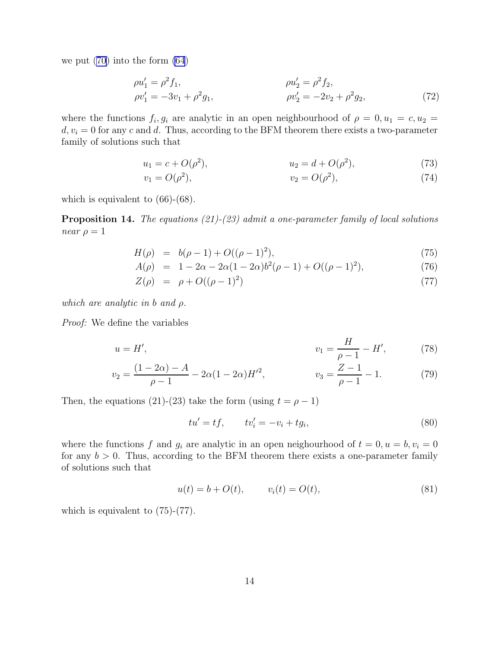we put [\(70\)](#page-12-0) into the form [\(64](#page-12-0))

$$
\rho u_1' = \rho^2 f_1, \n\rho u_2' = \rho^2 f_2, \n\rho v_1' = -3v_1 + \rho^2 g_1, \n\rho v_2' = -2v_2 + \rho^2 g_2,
$$
\n(72)

where the functions  $f_i, g_i$  are analytic in an open neighbourhood of  $\rho = 0, u_1 = c, u_2 =$  $d, v_i = 0$  for any c and d. Thus, according to the BFM theorem there exists a two-parameter family of solutions such that

$$
u_1 = c + O(\rho^2), \qquad u_2 = d + O(\rho^2), \tag{73}
$$

$$
v_1 = O(\rho^2), \qquad v_2 = O(\rho^2), \tag{74}
$$

which is equivalent to (66)-(68).

**Proposition 14.** The equations  $(21)-(23)$  admit a one-parameter family of local solutions near  $\rho = 1$ 

$$
H(\rho) = b(\rho - 1) + O((\rho - 1)^2), \tag{75}
$$

$$
A(\rho) = 1 - 2\alpha - 2\alpha(1 - 2\alpha)b^2(\rho - 1) + O((\rho - 1)^2), \tag{76}
$$

$$
Z(\rho) = \rho + O((\rho - 1)^2)
$$
\n(77)

which are analytic in b and  $\rho$ .

Proof: We define the variables

$$
u = H', \t\t v_1 = \frac{H}{\rho - 1} - H', \t\t(78)
$$

$$
v_2 = \frac{(1 - 2\alpha) - A}{\rho - 1} - 2\alpha (1 - 2\alpha) H^2, \qquad v_3 = \frac{Z - 1}{\rho - 1} - 1. \tag{79}
$$

Then, the equations (21)-(23) take the form (using  $t = \rho - 1$ )

$$
tu' = tf, \qquad tv'_i = -v_i + tg_i,\tag{80}
$$

where the functions f and  $g_i$  are analytic in an open neighourhood of  $t = 0, u = b, v_i = 0$ for any  $b > 0$ . Thus, according to the BFM theorem there exists a one-parameter family of solutions such that

$$
u(t) = b + O(t), \t v_i(t) = O(t), \t (81)
$$

which is equivalent to  $(75)-(77)$ .